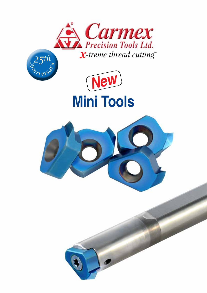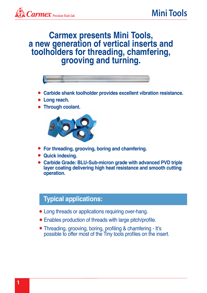### **Carmex presents Mini Tools, a new generation of vertical inserts and toolholders for threading, chamfering, grooving and turning.**



- **Carbide shank toolholder provides excellent vibration resistance.**
- **Long reach.**
- **Through coolant.**



- **For threading, grooving, boring and chamfering.**
- **Quick indexing.**
- **Carbide Grade: BLU-Sub-micron grade with advanced PVD triple layer coating delivering high heat resistance and smooth cutting operation.**

### **Typical applications:**

- Long threads or applications requiring over-hang.
- Enables production of threads with large pitch/profile.
- Threading, grooving, boring, profiling & chamfering It's possible to offer most of the Tiny tools profiles on the insert.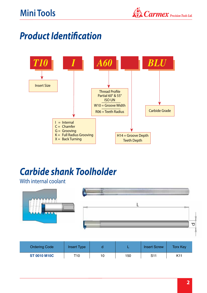## **Mini Tools**



## *Product Identification*



# *Carbide shank Toolholder*

#### With internal coolant



| <b>Ordering Code</b> | <b>Insert Type</b> |    |     | <b>Insert Screw</b> | Torx Key |
|----------------------|--------------------|----|-----|---------------------|----------|
| <b>ST 0010 M10C</b>  | T10                | 10 | 150 | S11                 | K11      |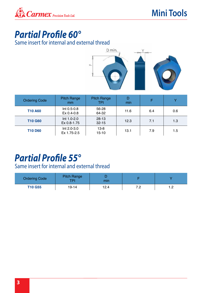

## *Partial Profile 60°*

#### Same insert for internal and external thread



| <b>Ordering Code</b> | <b>Pitch Range</b><br>mm   | Pitch Range<br>TPI     | min  |     | v   |
|----------------------|----------------------------|------------------------|------|-----|-----|
| <b>T10 A60</b>       | Int 0.5-0.8<br>Ex 0.4-0.8  | 56-28<br>64-32         | 11.6 | 6.4 | 0.6 |
| <b>T10 G60</b>       | Int 1.0-2.0<br>Ex 0.8-1.75 | $28 - 13$<br>$32 - 15$ | 12.3 | 7.1 | 1.3 |
| <b>T10 D60</b>       | Int 2.0-3.0<br>Ex 1.75-2.5 | $13 - 8$<br>15-10      | 13.1 | 7.9 | 1.5 |

### *Partial Profile 55°*

#### Same insert for internal and external thread

| <b>Ordering Code</b> | <b>Pitch Range</b><br>TPI | mın  |                                 |                   |
|----------------------|---------------------------|------|---------------------------------|-------------------|
| <b>T10 G55</b>       | 19-14                     | 12.4 | ה ד<br>$\overline{\phantom{a}}$ | ∩<br>. . <u>.</u> |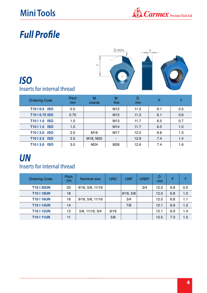## **Mini Tools**



# *Full Profile*



### *ISO* Inserts for internal thread

| <b>Ordering Code</b>                | <b>Pitch</b><br><sub>mm</sub> | M<br>coarse | M<br>fine       | D<br>min | F   | $\checkmark$ |
|-------------------------------------|-------------------------------|-------------|-----------------|----------|-----|--------------|
| T1010.5 ISO                         | 0.5                           |             | M <sub>12</sub> | 11.3     | 6.1 | 0.5          |
| T1010.75 ISO                        | 0.75                          |             | M <sub>12</sub> | 11.3     | 6.1 | 0.6          |
| T <sub>10</sub>   1.0<br><b>ISO</b> | 1.0                           |             | M <sub>13</sub> | 11.7     | 6.5 | 0.7          |
| T1011.5 ISO                         | 1.5                           |             | M14             | 11.7     | 6.5 | 1.0          |
| T <sub>10</sub>   2.0<br><b>ISO</b> | 2.0                           | M16         | M17             | 12.0     | 6.8 | 1.3          |
| T1012.5 ISO                         | 2.5                           | M18, M20    | ۰               | 12.6     | 7.4 | 1.4          |
| T <sub>10</sub>   3.0<br><b>ISO</b> | 3.0                           | M24         | M28             | 12.6     | 7.4 | 1.6          |

### *UN* Inserts for internal thread

| <b>Ordering Code</b> | <b>Pitch</b><br>TPI | Nominal size     | <b>UNC</b> | <b>UNF</b> | <b>UNEF</b> | D<br>min | F   | v   |
|----------------------|---------------------|------------------|------------|------------|-------------|----------|-----|-----|
| <b>T10 I 20UN</b>    | 20                  | 9/16, 5/8, 11/16 |            |            | 3/4         | 12.0     | 6.8 | 0.9 |
| <b>T10118UN</b>      | 18                  |                  |            | 9/16, 5/8  |             | 12.0     | 6.8 | 1.0 |
| <b>T10116UN</b>      | 16                  | 9/16, 5/8, 11/16 |            | 3/4        |             | 12.0     | 6.8 | 1.1 |
| <b>T10114UN</b>      | 14                  |                  |            | 7/8        |             | 12.1     | 6.9 | 1.2 |
| <b>T10112UN</b>      | 12                  | 5/8, 11/16, 3/4  | 9/16       |            |             | 12.1     | 6.9 | 1.4 |
| <b>T10 I 11UN</b>    | 11                  |                  | 5/8        |            |             | 12.5     | 7.3 | 1.5 |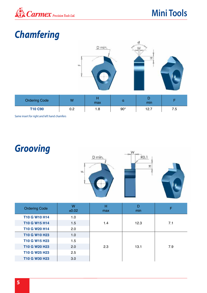

## **Mini Tools**

# *Chamfering*



Same insert for right and left hand chamfers

*Grooving*



| <b>Ordering Code</b> | W<br>±0.02 | н<br>max | D<br>min | F   |
|----------------------|------------|----------|----------|-----|
| T10 G W10 H14        | 1.0        |          |          |     |
| T10 G W15 H14        | 1.5        | 1.4      | 12.3     | 7.1 |
| T10 G W20 H14        | 2.0        |          |          |     |
| T10 G W10 H23        | 1.0        |          |          |     |
| T10 G W15 H23        | 1.5        |          |          |     |
| T10 G W20 H23        | 2.0        | 2.3      | 13.1     | 7.9 |
| T10 G W25 H23        | 2.5        |          |          |     |
| T10 G W30 H23        | 3.0        |          |          |     |
|                      |            |          |          |     |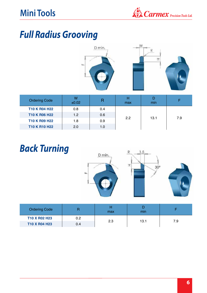

## *Full Radius Grooving*



| <b>Ordering Code</b> | W<br>±0.02 | R   | max | min  |     |
|----------------------|------------|-----|-----|------|-----|
| T10 K R04 H22        | 0.8        | 0.4 |     | 13.1 |     |
| T10 K R06 H22        | 1.2        | 0.6 | 2.2 |      |     |
| T10 K R09 H22        | 1.8        | 0.9 |     |      | 7.9 |
| T10 K R10 H22        | 2.0        | 1.0 |     |      |     |

# *Back Turning*



| <b>Ordering Code</b> |     | max | min  |     |
|----------------------|-----|-----|------|-----|
| T10 X R02 H23        | 0.2 |     |      |     |
| T10 X R04 H23        | 0.4 | 2.3 | 13.1 | 7.9 |